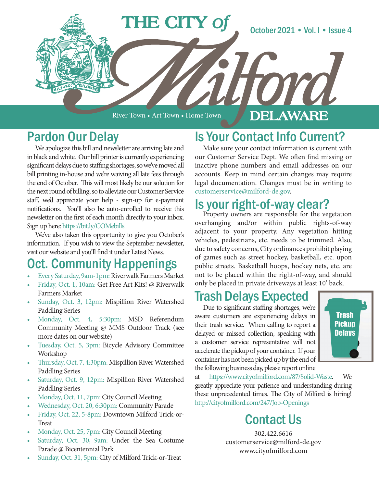

River Town • Art Town • Home Town

### DELAWARE

### Pardon Our Delay

We apologize this bill and newsletter are arriving late and in black and white. Our bill printer is currently experiencing significant delays due to staffing shortages, so we've moved all bill printing in-house and we're waiving all late fees through the end of October. This will most likely be our solution for the next round of billing, so to alleviate our Customer Service staff, we'd appreciate your help - sign-up for e-payment notifications. You'll also be auto-enrolled to receive this newsletter on the first of each month directly to your inbox. Sign up here: https://bit.ly/COMebills

We've also taken this opportunity to give you October's information. If you wish to view the September newsletter, visit our website and you'll find it under Latest News.

### **Oct. Community Happenings**

- Every Saturday, 9am-1pm: Riverwalk Farmers Market
- Friday, Oct. 1, 10am: Get Free Art Kits! @ Riverwalk Farmers Market
- Sunday, Oct. 3, 12pm: Mispillion River Watershed Paddling Series
- Monday, Oct. 4, 5:30pm: MSD Referendum Community Meeting @ MMS Outdoor Track (see more dates on our website)
- Tuesday, Oct. 5, 3pm: Bicycle Advisory Committee Workshop
- Thursday, Oct. 7, 4:30pm: Mispillion River Watershed Paddling Series
- Saturday, Oct. 9, 12pm: Mispillion River Watershed Paddling Series
- Monday, Oct. 11, 7pm: City Council Meeting
- Wednesday, Oct. 20, 6:30pm: Community Parade
- Friday, Oct. 22, 5-8pm: Downtown Milford Trick-or-Treat
- Monday, Oct. 25, 7pm: City Council Meeting
- Saturday, Oct. 30, 9am: Under the Sea Costume Parade @ Bicentennial Park
- Sunday, Oct. 31, 5pm: City of Milford Trick-or-Treat

## Is Your Contact Info Current?

Make sure your contact information is current with our Customer Service Dept. We often find missing or inactive phone numbers and email addresses on our accounts. Keep in mind certain changes may require legal documentation. Changes must be in writing to customerservice@milford-de.gov.

# Is your right-of-way clear?<br>Property owners are responsible for the vegetation

overhanging and/or within public rights-of-way adjacent to your property. Any vegetation hitting vehicles, pedestrians, etc. needs to be trimmed. Also, due to safety concerns, City ordinances prohibit playing of games such as street hockey, basketball, etc. upon public streets. Basketball hoops, hockey nets, etc. are not to be placed within the right-of-way, and should only be placed in private driveways at least 10' back.

### Trash Delays Expected

Due to significant staffing shortages, we're aware customers are experiencing delays in their trash service. When calling to report a delayed or missed collection, speaking with a customer service representative will not accelerate the pickup of your container. If your container has not been picked up by the end of the following business day, please report online



at https://www.cityofmilford.com/87/Solid-Waste. We greatly appreciate your patience and understanding during these unprecedented times. The City of Milford is hiring! http://cityofmilford.com/247/Job-Openings

## Contact Us

302.422.6616 customerservice@milford-de.gov www.cityofmilford.com